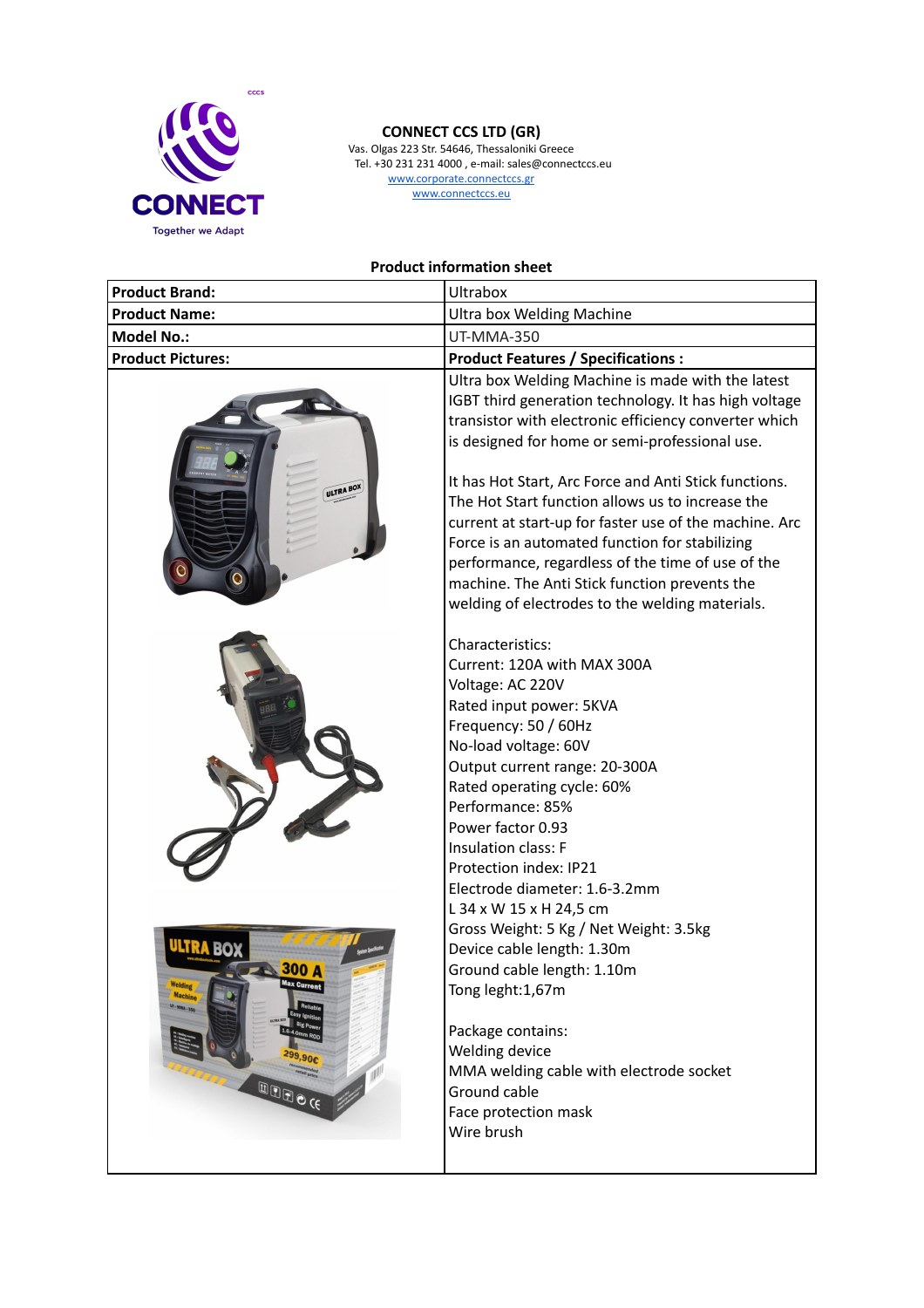

## **CONNECT CCS LTD (GR)**

Vas. Olgas 223 Str. 54646, Thessaloniki Greece Tel. +30 231 231 4000 , e-mail: sales@connectccs.eu www.corporate.connectccs.gr www.connectccs.eu

**Product information sheet**

| <b>Product Brand:</b>                                                                                                                       | <b>Ultrabox</b>                                                                                                                                                                                                                                                                                                                                                                                                                                                                                                                                                                                                                       |
|---------------------------------------------------------------------------------------------------------------------------------------------|---------------------------------------------------------------------------------------------------------------------------------------------------------------------------------------------------------------------------------------------------------------------------------------------------------------------------------------------------------------------------------------------------------------------------------------------------------------------------------------------------------------------------------------------------------------------------------------------------------------------------------------|
| <b>Product Name:</b>                                                                                                                        | Ultra box Welding Machine                                                                                                                                                                                                                                                                                                                                                                                                                                                                                                                                                                                                             |
| <b>Model No.:</b>                                                                                                                           | <b>UT-MMA-350</b>                                                                                                                                                                                                                                                                                                                                                                                                                                                                                                                                                                                                                     |
| <b>Product Pictures:</b>                                                                                                                    | <b>Product Features / Specifications:</b>                                                                                                                                                                                                                                                                                                                                                                                                                                                                                                                                                                                             |
| ULTRA BOX                                                                                                                                   | Ultra box Welding Machine is made with the latest<br>IGBT third generation technology. It has high voltage<br>transistor with electronic efficiency converter which<br>is designed for home or semi-professional use.<br>It has Hot Start, Arc Force and Anti Stick functions.<br>The Hot Start function allows us to increase the<br>current at start-up for faster use of the machine. Arc<br>Force is an automated function for stabilizing<br>performance, regardless of the time of use of the<br>machine. The Anti Stick function prevents the<br>welding of electrodes to the welding materials.                               |
| <b>ULTRA BO</b><br>300 A<br>Max Current<br>Welding<br><b>Machine</b><br>Easy Ignitic<br><b>Big Pow</b><br>$1.6 - 4.0m$<br>299,90€<br>ED OCE | Characteristics:<br>Current: 120A with MAX 300A<br>Voltage: AC 220V<br>Rated input power: 5KVA<br>Frequency: 50 / 60Hz<br>No-load voltage: 60V<br>Output current range: 20-300A<br>Rated operating cycle: 60%<br>Performance: 85%<br>Power factor 0.93<br>Insulation class: F<br>Protection index: IP21<br>Electrode diameter: 1.6-3.2mm<br>L 34 x W 15 x H 24,5 cm<br>Gross Weight: 5 Kg / Net Weight: 3.5kg<br>Device cable length: 1.30m<br>Ground cable length: 1.10m<br>Tong leght:1,67m<br>Package contains:<br>Welding device<br>MMA welding cable with electrode socket<br>Ground cable<br>Face protection mask<br>Wire brush |